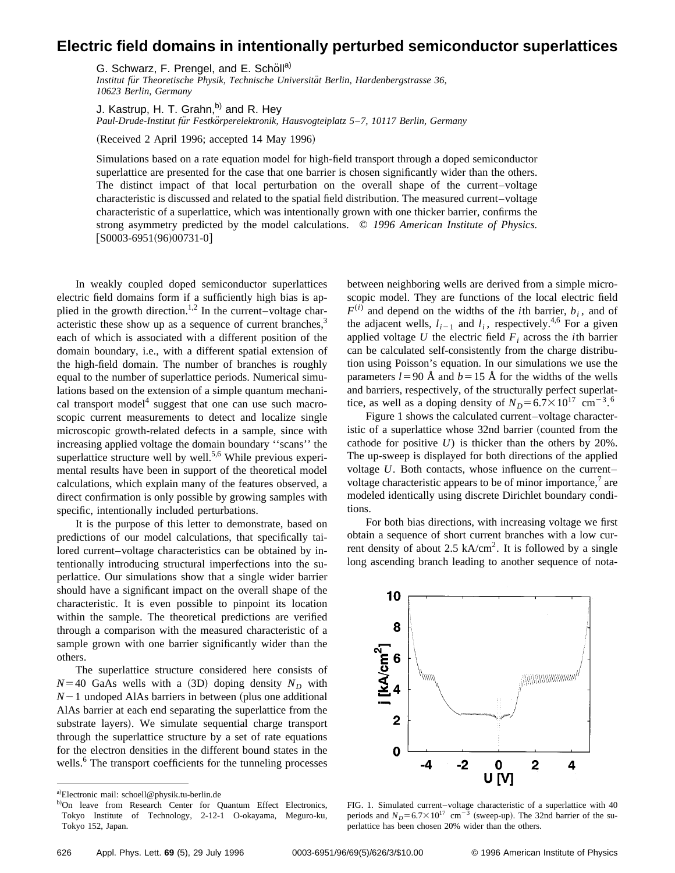## **Electric field domains in intentionally perturbed semiconductor superlattices**

G. Schwarz, F. Prengel, and E. Schöll<sup>a)</sup>

*Institut fu¨r Theoretische Physik, Technische Universita¨t Berlin, Hardenbergstrasse 36, 10623 Berlin, Germany*

J. Kastrup, H. T. Grahn, $^{b)}$  and R. Hey *Paul-Drude-Institut fu¨r Festko¨rperelektronik, Hausvogteiplatz 5*–*7, 10117 Berlin, Germany*

(Received 2 April 1996; accepted 14 May 1996)

Simulations based on a rate equation model for high-field transport through a doped semiconductor superlattice are presented for the case that one barrier is chosen significantly wider than the others. The distinct impact of that local perturbation on the overall shape of the current–voltage characteristic is discussed and related to the spatial field distribution. The measured current–voltage characteristic of a superlattice, which was intentionally grown with one thicker barrier, confirms the strong asymmetry predicted by the model calculations. © *1996 American Institute of Physics.*  $[$0003-6951(96)00731-0]$ 

In weakly coupled doped semiconductor superlattices electric field domains form if a sufficiently high bias is applied in the growth direction.<sup>1,2</sup> In the current–voltage characteristic these show up as a sequence of current branches, $3$ each of which is associated with a different position of the domain boundary, i.e., with a different spatial extension of the high-field domain. The number of branches is roughly equal to the number of superlattice periods. Numerical simulations based on the extension of a simple quantum mechanical transport model<sup>4</sup> suggest that one can use such macroscopic current measurements to detect and localize single microscopic growth-related defects in a sample, since with increasing applied voltage the domain boundary ''scans'' the superlattice structure well by well.<sup>5,6</sup> While previous experimental results have been in support of the theoretical model calculations, which explain many of the features observed, a direct confirmation is only possible by growing samples with specific, intentionally included perturbations.

It is the purpose of this letter to demonstrate, based on predictions of our model calculations, that specifically tailored current–voltage characteristics can be obtained by intentionally introducing structural imperfections into the superlattice. Our simulations show that a single wider barrier should have a significant impact on the overall shape of the characteristic. It is even possible to pinpoint its location within the sample. The theoretical predictions are verified through a comparison with the measured characteristic of a sample grown with one barrier significantly wider than the others.

The superlattice structure considered here consists of  $N=40$  GaAs wells with a (3D) doping density  $N_D$  with  $N-1$  undoped AlAs barriers in between (plus one additional AlAs barrier at each end separating the superlattice from the substrate layers). We simulate sequential charge transport through the superlattice structure by a set of rate equations for the electron densities in the different bound states in the wells.<sup>6</sup> The transport coefficients for the tunneling processes

between neighboring wells are derived from a simple microscopic model. They are functions of the local electric field  $F^{(i)}$  and depend on the widths of the *i*th barrier, *b<sub>i</sub>*, and of the adjacent wells,  $l_{i-1}$  and  $l_i$ , respectively.<sup>4,6</sup> For a given applied voltage  $U$  the electric field  $F_i$  across the *i*th barrier can be calculated self-consistently from the charge distribution using Poisson's equation. In our simulations we use the parameters  $l=90 \text{ Å}$  and  $b=15 \text{ Å}$  for the widths of the wells and barriers, respectively, of the structurally perfect superlattice, as well as a doping density of  $N_D = 6.7 \times 10^{17}$  cm<sup>-3.6</sup>

Figure 1 shows the calculated current–voltage characteristic of a superlattice whose 32nd barrier (counted from the cathode for positive *U*) is thicker than the others by 20%. The up-sweep is displayed for both directions of the applied voltage *U*. Both contacts, whose influence on the current– voltage characteristic appears to be of minor importance, $\alpha$  are modeled identically using discrete Dirichlet boundary conditions.

For both bias directions, with increasing voltage we first obtain a sequence of short current branches with a low current density of about 2.5 kA/cm<sup>2</sup>. It is followed by a single long ascending branch leading to another sequence of nota-



FIG. 1. Simulated current–voltage characteristic of a superlattice with 40 periods and  $N_D = 6.7 \times 10^{17}$  cm<sup>-3</sup> (sweep-up). The 32nd barrier of the superlattice has been chosen 20% wider than the others.

a)Electronic mail: schoell@physik.tu-berlin.de

b)On leave from Research Center for Quantum Effect Electronics, Tokyo Institute of Technology, 2-12-1 O-okayama, Meguro-ku, Tokyo 152, Japan.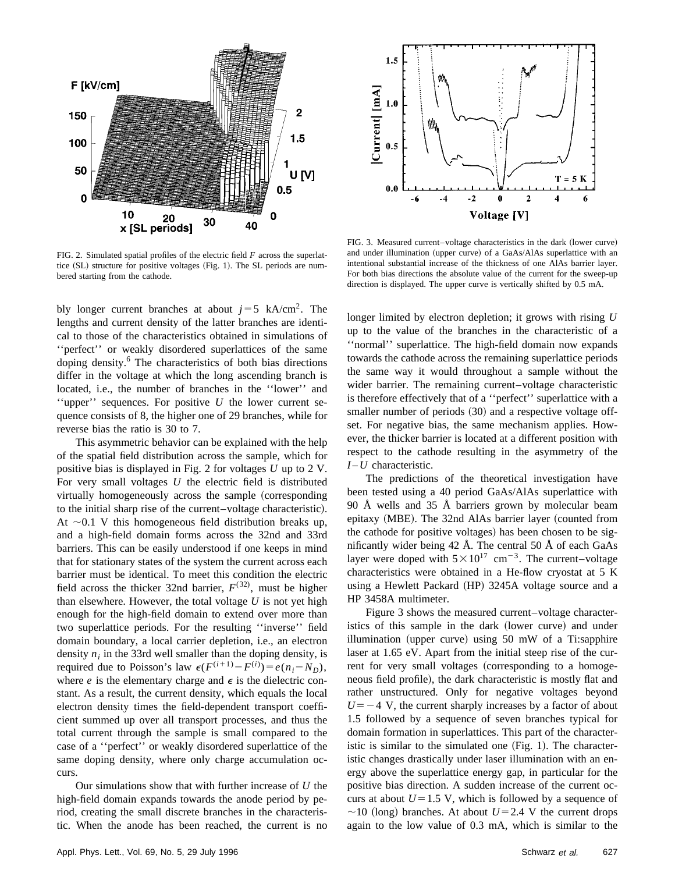

FIG. 2. Simulated spatial profiles of the electric field *F* across the superlattice (SL) structure for positive voltages (Fig. 1). The SL periods are numbered starting from the cathode.

bly longer current branches at about  $j=5$  kA/cm<sup>2</sup>. The lengths and current density of the latter branches are identical to those of the characteristics obtained in simulations of ''perfect'' or weakly disordered superlattices of the same doping density.<sup>6</sup> The characteristics of both bias directions differ in the voltage at which the long ascending branch is located, i.e., the number of branches in the ''lower'' and ''upper'' sequences. For positive *U* the lower current sequence consists of 8, the higher one of 29 branches, while for reverse bias the ratio is 30 to 7.

This asymmetric behavior can be explained with the help of the spatial field distribution across the sample, which for positive bias is displayed in Fig. 2 for voltages *U* up to 2 V. For very small voltages *U* the electric field is distributed virtually homogeneously across the sample (corresponding to the initial sharp rise of the current–voltage characteristic). At  $\sim$ 0.1 V this homogeneous field distribution breaks up, and a high-field domain forms across the 32nd and 33rd barriers. This can be easily understood if one keeps in mind that for stationary states of the system the current across each barrier must be identical. To meet this condition the electric field across the thicker 32nd barrier,  $F^{(32)}$ , must be higher than elsewhere. However, the total voltage *U* is not yet high enough for the high-field domain to extend over more than two superlattice periods. For the resulting ''inverse'' field domain boundary, a local carrier depletion, i.e., an electron density  $n_i$  in the 33rd well smaller than the doping density, is required due to Poisson's law  $\epsilon(F^{(i+1)} - F^{(i)}) = e(n_i - N_D)$ , where  $e$  is the elementary charge and  $\epsilon$  is the dielectric constant. As a result, the current density, which equals the local electron density times the field-dependent transport coefficient summed up over all transport processes, and thus the total current through the sample is small compared to the case of a ''perfect'' or weakly disordered superlattice of the same doping density, where only charge accumulation occurs.

Our simulations show that with further increase of *U* the high-field domain expands towards the anode period by period, creating the small discrete branches in the characteristic. When the anode has been reached, the current is no



FIG. 3. Measured current-voltage characteristics in the dark (lower curve) and under illumination (upper curve) of a GaAs/AlAs superlattice with an intentional substantial increase of the thickness of one AlAs barrier layer. For both bias directions the absolute value of the current for the sweep-up direction is displayed. The upper curve is vertically shifted by 0.5 mA.

longer limited by electron depletion; it grows with rising *U* up to the value of the branches in the characteristic of a ''normal'' superlattice. The high-field domain now expands towards the cathode across the remaining superlattice periods the same way it would throughout a sample without the wider barrier. The remaining current–voltage characteristic is therefore effectively that of a ''perfect'' superlattice with a smaller number of periods (30) and a respective voltage offset. For negative bias, the same mechanism applies. However, the thicker barrier is located at a different position with respect to the cathode resulting in the asymmetry of the *I* – *U* characteristic.

The predictions of the theoretical investigation have been tested using a 40 period GaAs/AlAs superlattice with 90 Å wells and 35 Å barriers grown by molecular beam epitaxy (MBE). The 32nd AlAs barrier layer (counted from the cathode for positive voltages) has been chosen to be significantly wider being  $42 \text{ Å}$ . The central  $50 \text{ Å}$  of each GaAs layer were doped with  $5 \times 10^{17}$  cm<sup>-3</sup>. The current–voltage characteristics were obtained in a He-flow cryostat at 5 K using a Hewlett Packard (HP) 3245A voltage source and a HP 3458A multimeter.

Figure 3 shows the measured current–voltage characteristics of this sample in the dark (lower curve) and under illumination (upper curve) using  $50$  mW of a Ti:sapphire laser at 1.65 eV. Apart from the initial steep rise of the current for very small voltages (corresponding to a homogeneous field profile), the dark characteristic is mostly flat and rather unstructured. Only for negative voltages beyond  $U=-4$  V, the current sharply increases by a factor of about 1.5 followed by a sequence of seven branches typical for domain formation in superlattices. This part of the characteristic is similar to the simulated one  $(Fig. 1)$ . The characteristic changes drastically under laser illumination with an energy above the superlattice energy gap, in particular for the positive bias direction. A sudden increase of the current occurs at about  $U=1.5$  V, which is followed by a sequence of  $\sim$ 10 (long) branches. At about *U* = 2.4 V the current drops again to the low value of 0.3 mA, which is similar to the